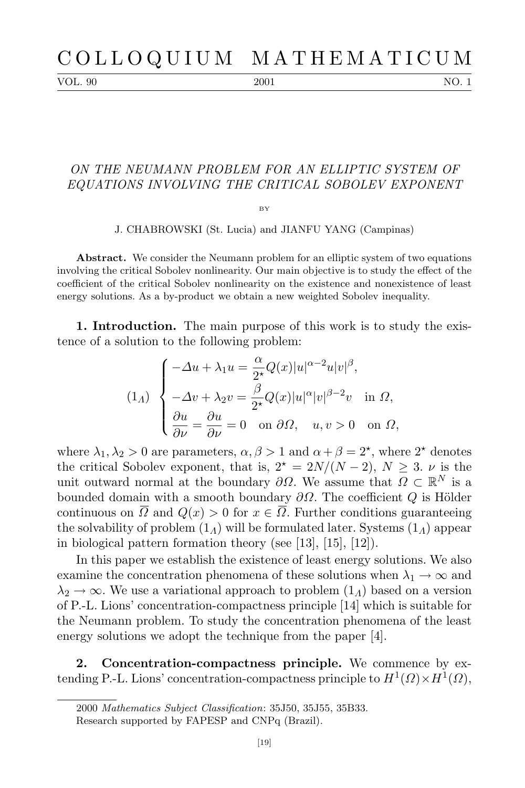VOL. 90 2001 2001 NO. 1

## *ON THE NEUMANN PROBLEM FOR AN ELLIPTIC SYSTEM OF EQUATIONS INVOLVING THE CRITICAL SOBOLEV EXPONENT*

 $BV$ 

J. CHABROWSKI (St. Lucia) and JIANFU YANG (Campinas)

Abstract. We consider the Neumann problem for an elliptic system of two equations involving the critical Sobolev nonlinearity. Our main objective is to study the effect of the coefficient of the critical Sobolev nonlinearity on the existence and nonexistence of least energy solutions. As a by-product we obtain a new weighted Sobolev inequality.

**1. Introduction.** The main purpose of this work is to study the existence of a solution to the following problem:

$$
(1_A) \begin{cases}\n-\Delta u + \lambda_1 u = \frac{\alpha}{2^{\star}} Q(x) |u|^{\alpha - 2} u |v|^{\beta}, \\
-\Delta v + \lambda_2 v = \frac{\beta}{2^{\star}} Q(x) |u|^{\alpha} |v|^{\beta - 2} v \quad \text{in } \Omega, \\
\frac{\partial u}{\partial \nu} = \frac{\partial u}{\partial \nu} = 0 \quad \text{on } \partial \Omega, \quad u, v > 0 \quad \text{on } \Omega,\n\end{cases}
$$

where  $\lambda_1, \lambda_2 > 0$  are parameters,  $\alpha, \beta > 1$  and  $\alpha + \beta = 2^{\star}$ , where  $2^{\star}$  denotes the critical Sobolev exponent, that is,  $2^* = 2N/(N-2)$ ,  $N \geq 3$ . *v* is the unit outward normal at the boundary  $\partial\Omega$ . We assume that  $\Omega \subset \mathbb{R}^N$  is a bounded domain with a smooth boundary  $\partial Ω$ . The coefficient *Q* is Hölder continuous on  $\overline{\Omega}$  and  $Q(x) > 0$  for  $x \in \overline{\Omega}$ . Further conditions guaranteeing the solvability of problem (1*Λ*) will be formulated later. Systems (1*Λ*) appear in biological pattern formation theory (see [13], [15], [12]).

In this paper we establish the existence of least energy solutions. We also examine the concentration phenomena of these solutions when  $\lambda_1 \rightarrow \infty$  and  $\lambda_2 \rightarrow \infty$ . We use a variational approach to problem  $(1_\Lambda)$  based on a version of P.-L. Lions' concentration-compactness principle [14] which is suitable for the Neumann problem. To study the concentration phenomena of the least energy solutions we adopt the technique from the paper [4].

**2. Concentration-compactness principle.** We commence by extending P.-L. Lions' concentration-compactness principle to  $H^1(\Omega) \times H^1(\Omega)$ ,

<sup>2000</sup> *Mathematics Subject Classification*: 35J50, 35J55, 35B33.

Research supported by FAPESP and CNPq (Brazil).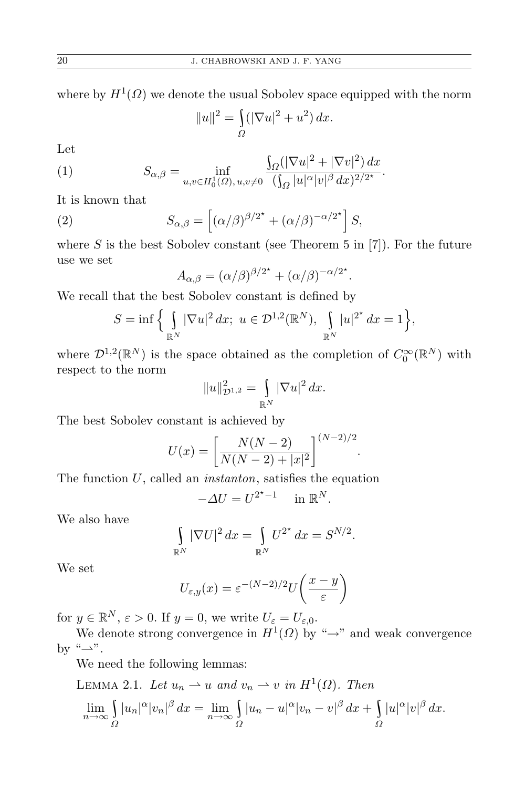where by  $H^1(\Omega)$  we denote the usual Sobolev space equipped with the norm

$$
||u||^{2} = \int_{\Omega} (|\nabla u|^{2} + u^{2}) dx.
$$

<sup>T</sup>

Let

(1) 
$$
S_{\alpha,\beta} = \inf_{u,v \in H_0^1(\Omega), u,v \neq 0} \frac{\int_{\Omega} (|\nabla u|^2 + |\nabla v|^2) dx}{(\int_{\Omega} |u|^{\alpha} |v|^{\beta} dx)^{2/2^*}}.
$$

It is known that

(2) 
$$
S_{\alpha,\beta} = \left[ (\alpha/\beta)^{\beta/2^{*}} + (\alpha/\beta)^{-\alpha/2^{*}} \right] S,
$$

where  $S$  is the best Sobolev constant (see Theorem 5 in [7]). For the future use we set

$$
A_{\alpha,\beta} = (\alpha/\beta)^{\beta/2^*} + (\alpha/\beta)^{-\alpha/2^*}.
$$

We recall that the best Sobolev constant is defined by

$$
S = \inf \Big\{ \int_{\mathbb{R}^N} |\nabla u|^2 \, dx; \ u \in \mathcal{D}^{1,2}(\mathbb{R}^N), \int_{\mathbb{R}^N} |u|^{2^*} \, dx = 1 \Big\},\
$$

where  $\mathcal{D}^{1,2}(\mathbb{R}^N)$  is the space obtained as the completion of  $C_0^{\infty}(\mathbb{R}^N)$  with respect to the norm

$$
||u||_{\mathcal{D}^{1,2}}^2 = \int_{\mathbb{R}^N} |\nabla u|^2 \, dx.
$$

The best Sobolev constant is achieved by

$$
U(x) = \left[\frac{N(N-2)}{N(N-2) + |x|^2}\right]^{(N-2)/2}
$$

*.*

The function *U*, called an *instanton*, satisfies the equation

$$
-\Delta U = U^{2^{\star}-1} \quad \text{in } \mathbb{R}^{N}.
$$

We also have

$$
\int_{\mathbb{R}^N} |\nabla U|^2 dx = \int_{\mathbb{R}^N} U^{2^\star} dx = S^{N/2}.
$$

We set

$$
U_{\varepsilon,y}(x) = \varepsilon^{-(N-2)/2} U\left(\frac{x-y}{\varepsilon}\right)
$$

for  $y \in \mathbb{R}^N$ ,  $\varepsilon > 0$ . If  $y = 0$ , we write  $U_{\varepsilon} = U_{\varepsilon,0}$ .

We denote strong convergence in  $H^1(\Omega)$  by " $\rightarrow$ " and weak convergence by "→".

We need the following lemmas:

LEMMA 2.1. Let 
$$
u_n \rightharpoonup u
$$
 and  $v_n \rightharpoonup v$  in  $H^1(\Omega)$ . Then  
\n
$$
\lim_{n \to \infty} \int_{\Omega} |u_n|^{\alpha} |v_n|^{\beta} dx = \lim_{n \to \infty} \int_{\Omega} |u_n - u|^{\alpha} |v_n - v|^{\beta} dx + \int_{\Omega} |u|^{\alpha} |v|^{\beta} dx.
$$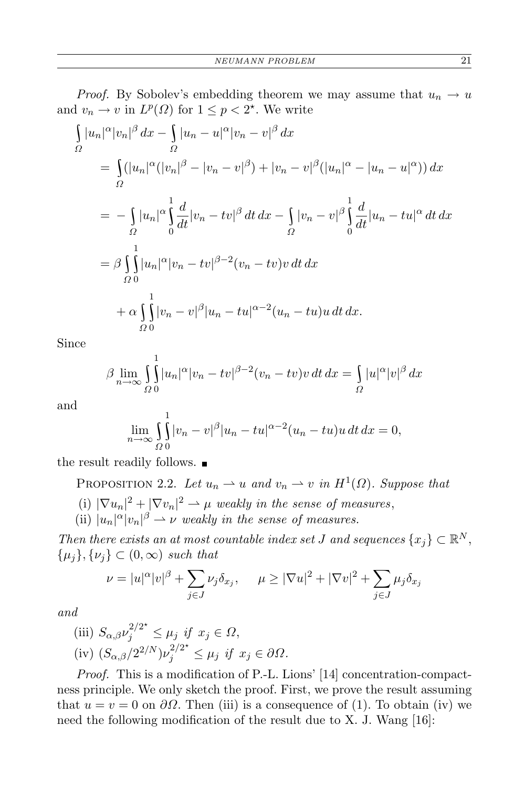*Proof.* By Sobolev's embedding theorem we may assume that  $u_n \to u$ and  $v_n \to v$  in  $L^p(\Omega)$  for  $1 \leq p < 2^{\star}$ . We write

$$
\int_{\Omega} |u_n|^{\alpha} |v_n|^{\beta} dx - \int_{\Omega} |u_n - u|^{\alpha} |v_n - v|^{\beta} dx
$$
\n
$$
= \int_{\Omega} (|u_n|^{\alpha} (|v_n|^{\beta} - |v_n - v|^{\beta}) + |v_n - v|^{\beta} (|u_n|^{\alpha} - |u_n - u|^{\alpha})) dx
$$
\n
$$
= - \int_{\Omega} |u_n|^{\alpha} \int_{0}^{1} \frac{d}{dt} |v_n - tv|^{\beta} dt dx - \int_{\Omega} |v_n - v|^{\beta} \int_{0}^{1} \frac{d}{dt} |u_n - tu|^{\alpha} dt dx
$$
\n
$$
= \beta \int_{\Omega} |u_n|^{\alpha} |v_n - tv|^{\beta - 2} (v_n - tv)v dt dx
$$
\n
$$
+ \alpha \int_{\Omega} |v_n - v|^{\beta} |u_n - tu|^{\alpha - 2} (u_n - tu)u dt dx.
$$

Since

$$
\beta \lim_{n \to \infty} \int_{\Omega} \int_{0}^{1} |u_n|^{\alpha} |v_n - tv|^{\beta - 2} (v_n - tv) v \, dt \, dx = \int_{\Omega} |u|^{\alpha} |v|^{\beta} \, dx
$$

and

$$
\lim_{n \to \infty} \int_{\Omega} \int_{0}^{1} |v_n - v|^{\beta} |u_n - tu|^{\alpha - 2} (u_n - tu) u \, dt \, dx = 0,
$$

the result readily follows.

1

PROPOSITION 2.2. *Let*  $u_n \rightharpoonup u$  *and*  $v_n \rightharpoonup v$  *in*  $H^1(\Omega)$ *. Suppose that* 

- (i)  $|\nabla u_n|^2 + |\nabla v_n|^2 \to \mu$  weakly in the sense of measures,
- (ii)  $|u_n|^{\alpha}|v_n|^{\beta} \to \nu$  weakly in the sense of measures.

*Then there exists an at most countable index set <i>J* and sequences  $\{x_j\} \subset \mathbb{R}^N$ , *{µj}, {νj} ⊂* (0*, ∞*) *such that*

$$
\nu = |u|^{\alpha} |v|^{\beta} + \sum_{j \in J} \nu_j \delta_{x_j}, \quad \mu \geq |\nabla u|^2 + |\nabla v|^2 + \sum_{j \in J} \mu_j \delta_{x_j}
$$

*and*

(iii) 
$$
S_{\alpha,\beta} \nu_j^{2/2^*} \le \mu_j
$$
 if  $x_j \in \Omega$ ,  
(iv)  $(S_{\alpha,\beta}/2^{2/N})\nu_j^{2/2^*} \le \mu_j$  if  $x_j \in \partial\Omega$ .

*Proof.* This is a modification of P.-L. Lions' [14] concentration-compactness principle. We only sketch the proof. First, we prove the result assuming that  $u = v = 0$  on  $\partial\Omega$ . Then (iii) is a consequence of (1). To obtain (iv) we need the following modification of the result due to X. J. Wang [16]: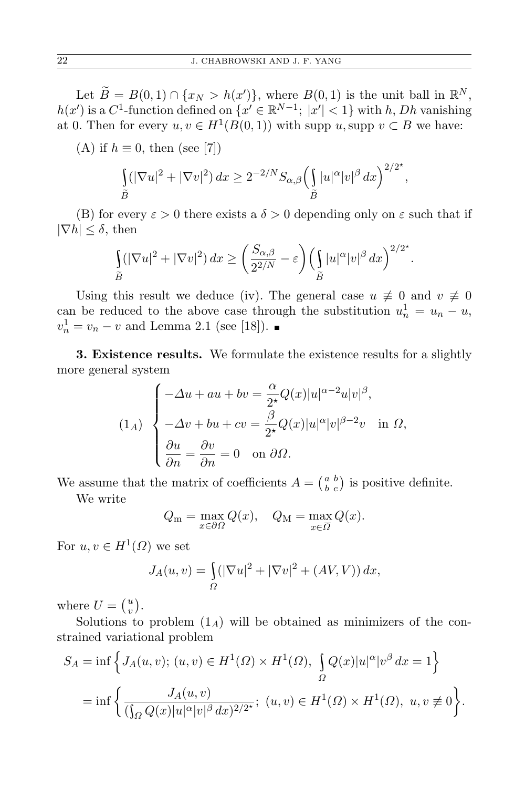Let  $\widetilde{B} = B(0,1) \cap \{x_N > h(x')\}$ , where  $B(0,1)$  is the unit ball in  $\mathbb{R}^N$ ,  $h(x')$  is a  $C^1$ -function defined on  $\{x' \in \mathbb{R}^{N-1}; |x'| < 1\}$  with *h*, *Dh* vanishing at 0. Then for every  $u, v \in H^1(B(0, 1))$  with supp  $u$ , supp  $v \subset B$  we have:

(A) if  $h \equiv 0$ , then (see [7])

$$
\int_{\widetilde{B}} (|\nabla u|^2 + |\nabla v|^2) dx \ge 2^{-2/N} S_{\alpha,\beta} \left( \int_{\widetilde{B}} |u|^\alpha |v|^\beta dx \right)^{2/2^*},
$$

(B) for every  $\varepsilon > 0$  there exists a  $\delta > 0$  depending only on  $\varepsilon$  such that if *|∇h| ≤ δ*, then

$$
\int_{\widetilde{B}} (|\nabla u|^2 + |\nabla v|^2) dx \ge \left(\frac{S_{\alpha,\beta}}{2^{2/N}} - \varepsilon\right) \left(\int_{\widetilde{B}} |u|^\alpha |v|^\beta dx\right)^{2/2^*}.
$$

Using this result we deduce (iv). The general case  $u \neq 0$  and  $v \neq 0$ can be reduced to the above case through the substitution  $u_n^1 = u_n - u$ ,  $v_n^1 = v_n - v$  and Lemma 2.1 (see [18]).

**3. Existence results.** We formulate the existence results for a slightly more general system

$$
(1_A) \begin{cases}\n-\Delta u + au + bv = \frac{\alpha}{2^{\star}} Q(x) |u|^{\alpha - 2} u |v|^{\beta}, \\
-\Delta v + bu + cv = \frac{\beta}{2^{\star}} Q(x) |u|^{\alpha} |v|^{\beta - 2} v \text{ in } \Omega, \\
\frac{\partial u}{\partial n} = \frac{\partial v}{\partial n} = 0 \text{ on } \partial \Omega.\n\end{cases}
$$

We assume that the matrix of coefficients  $A = \begin{pmatrix} a & b \\ b & c \end{pmatrix}$  is positive definite.

We write

$$
Q_m = \max_{x \in \partial \Omega} Q(x), \quad Q_M = \max_{x \in \overline{\Omega}} Q(x).
$$

For  $u, v \in H^1(\Omega)$  we set

$$
J_A(u,v) = \int_{\Omega} (|\nabla u|^2 + |\nabla v|^2 + (AV, V)) dx,
$$

where  $U = \begin{pmatrix} u \\ v \end{pmatrix}$  $\binom{u}{v}$ .

Solutions to problem  $(1_A)$  will be obtained as minimizers of the constrained variational problem

$$
S_A = \inf \left\{ J_A(u, v); (u, v) \in H^1(\Omega) \times H^1(\Omega), \int_{\Omega} Q(x) |u|^{\alpha} |v^{\beta} dx = 1 \right\}
$$
  
= 
$$
\inf \left\{ \frac{J_A(u, v)}{(\int_{\Omega} Q(x) |u|^{\alpha} |v|^{\beta} dx)^{2/2^*}}; (u, v) \in H^1(\Omega) \times H^1(\Omega), u, v \neq 0 \right\}.
$$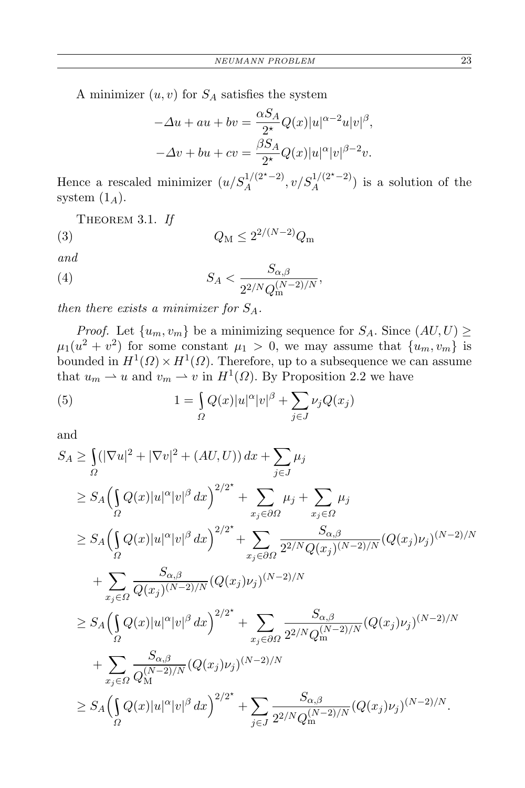A minimizer  $(u, v)$  for  $S_A$  satisfies the system

$$
-\Delta u + au + bv = \frac{\alpha S_A}{2^{\star}} Q(x) |u|^{\alpha - 2} u |v|^{\beta},
$$
  

$$
-\Delta v + bu + cv = \frac{\beta S_A}{2^{\star}} Q(x) |u|^{\alpha} |v|^{\beta - 2} v.
$$

Hence a rescaled minimizer  $(u/S_A^{1/(2^{\star}-2)}, v/S_A^{1/(2^{\star}-2)})$  is a solution of the system  $(1_A)$ .

Theorem 3.1. *If*

(3) 
$$
Q_M \le 2^{2/(N-2)}Q_m
$$

*and*

(4) 
$$
S_A < \frac{S_{\alpha,\beta}}{2^{2/N}Q_{\rm m}^{(N-2)/N}},
$$

*then there exists a minimizer for SA.*

*Proof.* Let  $\{u_m, v_m\}$  be a minimizing sequence for  $S_A$ . Since  $(AU, U) \ge$  $\mu_1(u^2 + v^2)$  for some constant  $\mu_1 > 0$ , we may assume that  $\{u_m, v_m\}$  is bounded in  $H^1(\Omega) \times H^1(\Omega)$ . Therefore, up to a subsequence we can assume that  $u_m \rightharpoonup u$  and  $v_m \rightharpoonup v$  in  $H^1(\Omega)$ . By Proposition 2.2 we have

(5) 
$$
1 = \int_{\Omega} Q(x)|u|^{\alpha}|v|^{\beta} + \sum_{j \in J} \nu_j Q(x_j)
$$

and

$$
S_A \geq \int_{\Omega} (|\nabla u|^2 + |\nabla v|^2 + (AU, U)) dx + \sum_{j \in J} \mu_j
$$
  
\n
$$
\geq S_A \Big( \int_{\Omega} Q(x) |u|^{\alpha} |v|^{\beta} dx \Big)^{2/2^*} + \sum_{x_j \in \partial \Omega} \mu_j + \sum_{x_j \in \Omega} \mu_j
$$
  
\n
$$
\geq S_A \Big( \int_{\Omega} Q(x) |u|^{\alpha} |v|^{\beta} dx \Big)^{2/2^*} + \sum_{x_j \in \partial \Omega} \frac{S_{\alpha,\beta}}{2^{2/N} Q(x_j)^{(N-2)/N}} (Q(x_j) \nu_j)^{(N-2)/N}
$$
  
\n
$$
+ \sum_{x_j \in \Omega} \frac{S_{\alpha,\beta}}{Q(x_j)^{(N-2)/N}} (Q(x_j) \nu_j)^{(N-2)/N}
$$
  
\n
$$
\geq S_A \Big( \int_{\Omega} Q(x) |u|^{\alpha} |v|^{\beta} dx \Big)^{2/2^*} + \sum_{x_j \in \partial \Omega} \frac{S_{\alpha,\beta}}{2^{2/N} Q_m^{(N-2)/N}} (Q(x_j) \nu_j)^{(N-2)/N}
$$
  
\n
$$
+ \sum_{x_j \in \Omega} \frac{S_{\alpha,\beta}}{Q_M^{(N-2)/N}} (Q(x_j) \nu_j)^{(N-2)/N}
$$
  
\n
$$
\geq S_A \Big( \int_{\Omega} Q(x) |u|^{\alpha} |v|^{\beta} dx \Big)^{2/2^*} + \sum_{j \in J} \frac{S_{\alpha,\beta}}{2^{2/N} Q_m^{(N-2)/N}} (Q(x_j) \nu_j)^{(N-2)/N}.
$$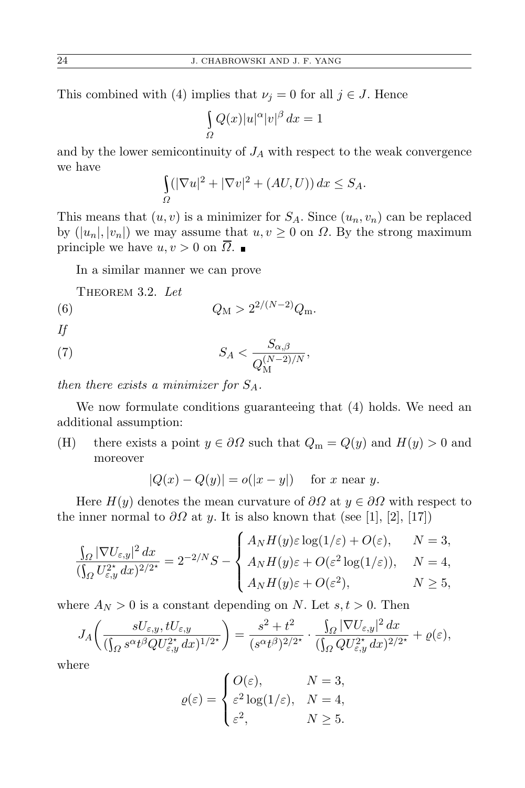This combined with (4) implies that  $\nu_j = 0$  for all  $j \in J$ . Hence

$$
\int_{\Omega} Q(x)|u|^{\alpha}|v|^{\beta} dx = 1
$$

and by the lower semicontinuity of *J<sup>A</sup>* with respect to the weak convergence we have

$$
\int_{\Omega} (|\nabla u|^2 + |\nabla v|^2 + (AU, U)) dx \le S_A.
$$

This means that  $(u, v)$  is a minimizer for  $S_A$ . Since  $(u_n, v_n)$  can be replaced by  $(|u_n|, |v_n|)$  we may assume that  $u, v \ge 0$  on  $\Omega$ . By the strong maximum principle we have  $u, v > 0$  on  $\overline{\Omega}$ . ■

In a similar manner we can prove

Theorem 3.2. *Let*

(6) 
$$
Q_M > 2^{2/(N-2)}Q_m
$$
.

*If*

$$
(7) \tS_A < \frac{S_{\alpha,\beta}}{Q_{\mathcal{M}}^{(N-2)/N}},
$$

*then there exists a minimizer for SA.*

We now formulate conditions guaranteeing that (4) holds. We need an additional assumption:

(H) there exists a point  $y \in \partial \Omega$  such that  $Q_m = Q(y)$  and  $H(y) > 0$  and moreover

$$
|Q(x) - Q(y)| = o(|x - y|) \quad \text{for } x \text{ near } y.
$$

Here  $H(y)$  denotes the mean curvature of  $\partial\Omega$  at  $y \in \partial\Omega$  with respect to the inner normal to  $\partial\Omega$  at *y*. It is also known that (see [1], [2], [17])

$$
\frac{\int_{\Omega}|\nabla U_{\varepsilon,y}|^2\,dx}{(\int_{\Omega}U_{\varepsilon,y}^{2^\star}\,dx)^{2/2^\star}}=2^{-2/N}S-\left\{\begin{aligned}A_NH(y)\varepsilon\log(1/\varepsilon)+O(\varepsilon),\quad &N=3,\\A_NH(y)\varepsilon+O(\varepsilon^2\log(1/\varepsilon)),\quad &N=4,\\A_NH(y)\varepsilon+O(\varepsilon^2),\quad &N\geq5,\end{aligned}\right.
$$

where  $A_N > 0$  is a constant depending on *N*. Let  $s, t > 0$ . Then

$$
J_A\left(\frac{sU_{\varepsilon,y},tU_{\varepsilon,y}}{(\int_{\Omega} s^{\alpha}t^{\beta}QU_{\varepsilon,y}^{2^*}dx)^{1/2^*}}\right) = \frac{s^2+t^2}{(s^{\alpha}t^{\beta})^{2/2^*}} \cdot \frac{\int_{\Omega} |\nabla U_{\varepsilon,y}|^2 dx}{(\int_{\Omega} QU_{\varepsilon,y}^{2^*} dx)^{2/2^*}} + \varrho(\varepsilon),
$$

where

$$
\varrho(\varepsilon) = \begin{cases} O(\varepsilon), & N = 3, \\ \varepsilon^2 \log(1/\varepsilon), & N = 4, \\ \varepsilon^2, & N \ge 5. \end{cases}
$$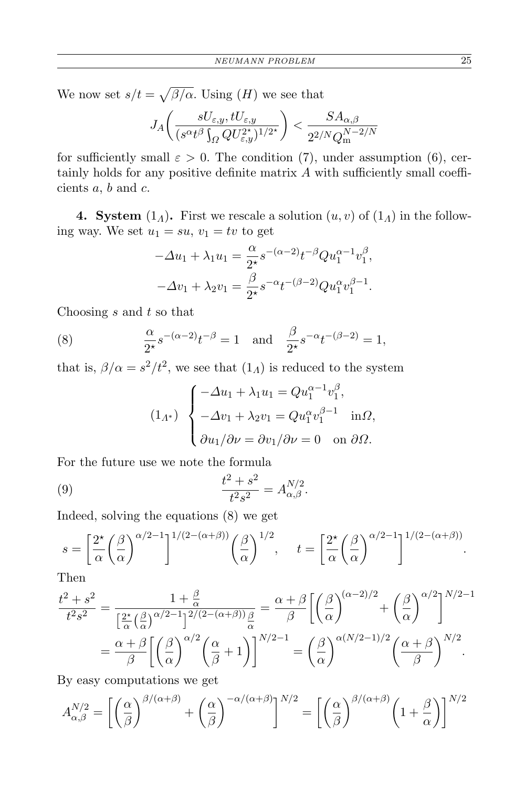We now set  $s/t = \sqrt{\beta/\alpha}$ . Using  $(H)$  we see that

$$
J_A\bigg(\frac{sU_{\varepsilon,y},tU_{\varepsilon,y}}{(s^{\alpha}t^{\beta}\int_{\varOmega}QU_{\varepsilon,y}^{2^\star})^{1/2^\star}}\bigg)<\frac{SA_{\alpha,\beta}}{2^{2/N}Q_{\rm m}^{N-2/N}}
$$

for sufficiently small  $\varepsilon > 0$ . The condition (7), under assumption (6), certainly holds for any positive definite matrix *A* with sufficiently small coefficients *a*, *b* and *c*.

**4. System** (1<sub>*Λ*</sub>)**.** First we rescale a solution  $(u, v)$  of  $(1_\Lambda)$  in the following way. We set  $u_1 = su$ ,  $v_1 = tv$  to get

$$
-\Delta u_1 + \lambda_1 u_1 = \frac{\alpha}{2^*} s^{-(\alpha - 2)} t^{-\beta} Q u_1^{\alpha - 1} v_1^{\beta},
$$
  

$$
-\Delta v_1 + \lambda_2 v_1 = \frac{\beta}{2^*} s^{-\alpha} t^{-(\beta - 2)} Q u_1^{\alpha} v_1^{\beta - 1}.
$$

Choosing *s* and *t* so that

(8) 
$$
\frac{\alpha}{2^*} s^{-(\alpha-2)} t^{-\beta} = 1 \text{ and } \frac{\beta}{2^*} s^{-\alpha} t^{-(\beta-2)} = 1,
$$

that is,  $\beta/\alpha = s^2/t^2$ , we see that  $(1_A)$  is reduced to the system

$$
(1_{\Lambda^*})\begin{cases}\n-\Delta u_1 + \lambda_1 u_1 = Q u_1^{\alpha - 1} v_1^{\beta}, \\
-\Delta v_1 + \lambda_2 v_1 = Q u_1^{\alpha} v_1^{\beta - 1} \quad \text{in}\Omega, \\
\partial u_1/\partial \nu = \partial v_1/\partial \nu = 0 \quad \text{on}\ \partial \Omega.\n\end{cases}
$$

For the future use we note the formula

(9) 
$$
\frac{t^2 + s^2}{t^2 s^2} = A_{\alpha, \beta}^{N/2}.
$$

Indeed, solving the equations (8) we get

$$
s = \left[\frac{2^{\star}}{\alpha} \left(\frac{\beta}{\alpha}\right)^{\alpha/2 - 1}\right]^{1/(2 - (\alpha + \beta))} \left(\frac{\beta}{\alpha}\right)^{1/2}, \quad t = \left[\frac{2^{\star}}{\alpha} \left(\frac{\beta}{\alpha}\right)^{\alpha/2 - 1}\right]^{1/(2 - (\alpha + \beta))}.
$$

Then

$$
\frac{t^2 + s^2}{t^2 s^2} = \frac{1 + \frac{\beta}{\alpha}}{\left[\frac{2^{\star}}{\alpha} \left(\frac{\beta}{\alpha}\right)^{\alpha/2 - 1}\right]^{2/(2 - (\alpha + \beta))} \frac{\beta}{\alpha}} = \frac{\alpha + \beta}{\beta} \left[ \left(\frac{\beta}{\alpha}\right)^{(\alpha - 2)/2} + \left(\frac{\beta}{\alpha}\right)^{\alpha/2} \right]^{N/2 - 1}
$$

$$
= \frac{\alpha + \beta}{\beta} \left[ \left(\frac{\beta}{\alpha}\right)^{\alpha/2} \left(\frac{\alpha}{\beta} + 1\right) \right]^{N/2 - 1} = \left(\frac{\beta}{\alpha}\right)^{\alpha(N/2 - 1)/2} \left(\frac{\alpha + \beta}{\beta}\right)^{N/2}.
$$

By easy computations we get

$$
A_{\alpha,\beta}^{N/2} = \left[ \left( \frac{\alpha}{\beta} \right)^{\beta/(\alpha+\beta)} + \left( \frac{\alpha}{\beta} \right)^{-\alpha/(\alpha+\beta)} \right]^{N/2} = \left[ \left( \frac{\alpha}{\beta} \right)^{\beta/(\alpha+\beta)} \left( 1 + \frac{\beta}{\alpha} \right) \right]^{N/2}
$$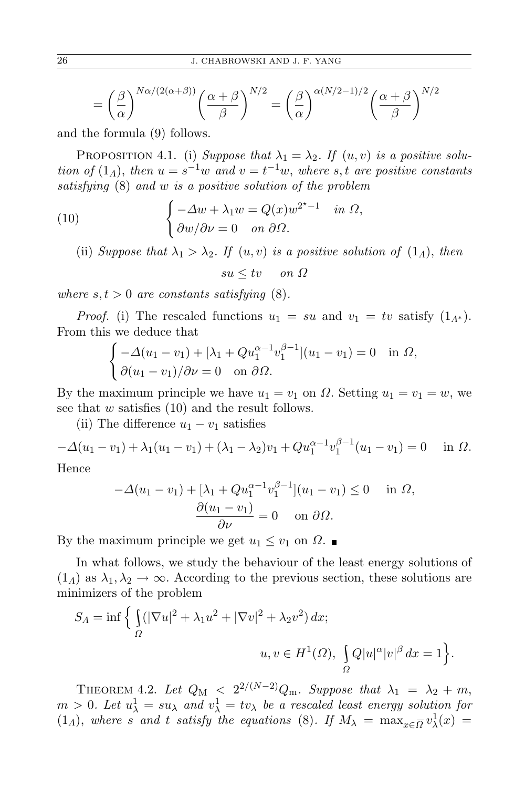$$
= \left(\frac{\beta}{\alpha}\right)^{N\alpha/(2(\alpha+\beta))} \left(\frac{\alpha+\beta}{\beta}\right)^{N/2} = \left(\frac{\beta}{\alpha}\right)^{\alpha(N/2-1)/2} \left(\frac{\alpha+\beta}{\beta}\right)^{N/2}
$$

and the formula (9) follows.

PROPOSITION 4.1. (i) *Suppose that*  $\lambda_1 = \lambda_2$ . If  $(u, v)$  *is a positive solution of*  $(1_A)$ , *then*  $u = s^{-1}w$  *and*  $v = t^{-1}w$ , *where s, t are positive constants satisfying* (8) *and w is a positive solution of the problem*

(10) 
$$
\begin{cases}\n-\Delta w + \lambda_1 w = Q(x)w^{2^*-1} & \text{in } \Omega, \\
\partial w/\partial \nu = 0 & \text{on } \partial \Omega.\n\end{cases}
$$

(ii) *Suppose that*  $\lambda_1 > \lambda_2$ *. If*  $(u, v)$  *is a positive solution of*  $(1_\Lambda)$ *, then*  $su \leq tv$  *on*  $\Omega$ 

*where*  $s, t > 0$  *are constants satisfying*  $(8)$ *.* 

*Proof.* (i) The rescaled functions  $u_1 = su$  and  $v_1 = tv$  satisfy  $(1_{\Lambda^*})$ . From this we deduce that

$$
\begin{cases}\n-\Delta(u_1 - v_1) + [\lambda_1 + Qu_1^{\alpha - 1}v_1^{\beta - 1}](u_1 - v_1) = 0 & \text{in } \Omega, \\
\partial(u_1 - v_1)/\partial \nu = 0 & \text{on } \partial\Omega.\n\end{cases}
$$

By the maximum principle we have  $u_1 = v_1$  on  $\Omega$ . Setting  $u_1 = v_1 = w$ , we see that *w* satisfies (10) and the result follows.

(ii) The difference  $u_1 - v_1$  satisfies

 $- \Delta(u_1 - v_1) + \lambda_1(u_1 - v_1) + (\lambda_1 - \lambda_2)v_1 + Qu_1^{\alpha - 1}v_1^{\beta - 1}$  $j_1^{\rho-1}(u_1-v_1)=0$  in  $\Omega$ .

Hence

$$
-\Delta(u_1 - v_1) + [\lambda_1 + Qu_1^{\alpha-1}v_1^{\beta-1}](u_1 - v_1) \le 0 \quad \text{in } \Omega,
$$

$$
\frac{\partial(u_1 - v_1)}{\partial \nu} = 0 \quad \text{on } \partial\Omega.
$$

By the maximum principle we get  $u_1 \leq v_1$  on  $\Omega$ .

In what follows, we study the behaviour of the least energy solutions of  $(1_A)$  as  $\lambda_1, \lambda_2 \to \infty$ . According to the previous section, these solutions are minimizers of the problem

$$
S_A = \inf \Big\{ \int_{\Omega} (|\nabla u|^2 + \lambda_1 u^2 + |\nabla v|^2 + \lambda_2 v^2) \, dx; \Big\}
$$
  

$$
u, v \in H^1(\Omega), \int_{\Omega} Q |u|^\alpha |v|^\beta \, dx = 1 \Big\}.
$$

THEOREM 4.2. Let  $Q_M < 2^{2/(N-2)}Q_m$ . Suppose that  $\lambda_1 = \lambda_2 + m$ ,  $m > 0$ *. Let*  $u^1_\lambda = su_\lambda$  and  $v^1_\lambda = tv_\lambda$  be a rescaled least energy solution for  $(1_A)$ , *where s* and *t satisfy the equations* (8)*. If*  $M_\lambda = \max_{x \in \overline{\Omega}} v_\lambda^1(x) =$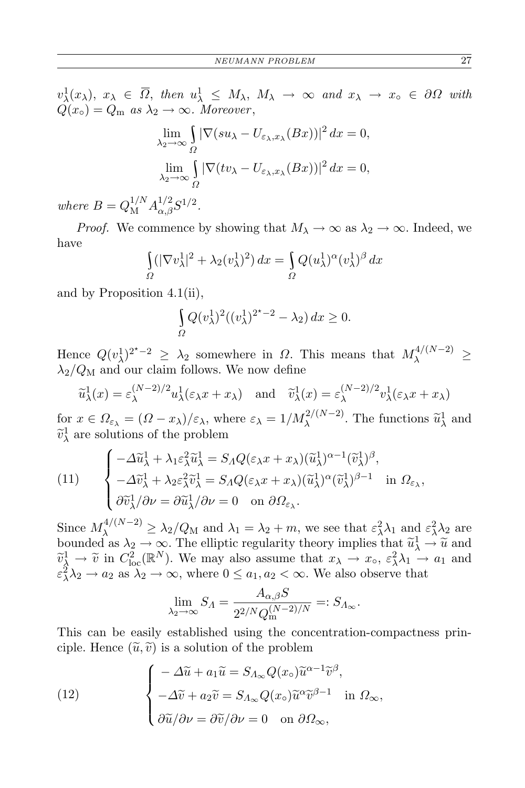$v^1_\lambda(x_\lambda), x_\lambda \in \overline{\Omega}, \text{ then } u^1_\lambda \leq M_\lambda, M_\lambda \to \infty \text{ and } x_\lambda \to x_\circ \in \partial\Omega \text{ with }$  $Q(x_{\circ}) = Q_{\rm m}$  *as*  $\lambda_2 \rightarrow \infty$ *. Moreover*,

$$
\lim_{\lambda_2 \to \infty} \int_{\Omega} |\nabla(su_{\lambda} - U_{\varepsilon_{\lambda},x_{\lambda}}(Bx))|^2 dx = 0,
$$
  

$$
\lim_{\lambda_2 \to \infty} \int_{\Omega} |\nabla(tv_{\lambda} - U_{\varepsilon_{\lambda},x_{\lambda}}(Bx))|^2 dx = 0,
$$

*where*  $B = Q_{\rm M}^{1/N} A_{\alpha,\beta}^{1/2} S^{1/2}$ .

*Proof.* We commence by showing that  $M_{\lambda} \to \infty$  as  $\lambda_2 \to \infty$ . Indeed, we have

$$
\int_{\Omega} (|\nabla v_{\lambda}^{1}|^{2} + \lambda_{2} (v_{\lambda}^{1})^{2}) dx = \int_{\Omega} Q(u_{\lambda}^{1})^{\alpha} (v_{\lambda}^{1})^{\beta} dx
$$

and by Proposition 4.1(ii),

$$
\int_{\Omega} Q(v_{\lambda}^1)^2((v_{\lambda}^1)^{2^*-2} - \lambda_2) dx \ge 0.
$$

Hence  $Q(v_\lambda^1)^{2^*-2} \geq \lambda_2$  somewhere in *Ω*. This means that  $M_\lambda^{4/(N-2)} \geq$  $\lambda_2/Q_M$  and our claim follows. We now define

$$
\widetilde{u}_{\lambda}^{1}(x) = \varepsilon_{\lambda}^{(N-2)/2} u_{\lambda}^{1}(\varepsilon_{\lambda} x + x_{\lambda}) \quad \text{and} \quad \widetilde{v}_{\lambda}^{1}(x) = \varepsilon_{\lambda}^{(N-2)/2} v_{\lambda}^{1}(\varepsilon_{\lambda} x + x_{\lambda})
$$

for  $x \in \Omega_{\varepsilon_{\lambda}} = (\Omega - x_{\lambda})/\varepsilon_{\lambda}$ , where  $\varepsilon_{\lambda} = 1/M_{\lambda}^{2/(N-2)}$ . The functions  $\tilde{u}^1_{\lambda}$  and  $\widetilde{v}_{\lambda}^1$  are solutions of the problem

(11) 
$$
\begin{cases}\n-\Delta \widetilde{u}_{\lambda}^1 + \lambda_1 \varepsilon_{\lambda}^2 \widetilde{u}_{\lambda}^1 = S_A Q(\varepsilon_{\lambda} x + x_{\lambda}) (\widetilde{u}_{\lambda}^1)^{\alpha - 1} (\widetilde{v}_{\lambda}^1)^{\beta}, \\
-\Delta \widetilde{v}_{\lambda}^1 + \lambda_2 \varepsilon_{\lambda}^2 \widetilde{v}_{\lambda}^1 = S_A Q(\varepsilon_{\lambda} x + x_{\lambda}) (\widetilde{u}_{\lambda}^1)^{\alpha} (\widetilde{v}_{\lambda}^1)^{\beta - 1} & \text{in } \Omega_{\varepsilon_{\lambda}}, \\
\partial \widetilde{v}_{\lambda}^1 / \partial \nu = \partial \widetilde{u}_{\lambda}^1 / \partial \nu = 0 & \text{on } \partial \Omega_{\varepsilon_{\lambda}}.\n\end{cases}
$$

Since  $M_{\lambda}^{4/(N-2)} \ge \lambda_2/Q_M$  and  $\lambda_1 = \lambda_2 + m$ , we see that  $\varepsilon_{\lambda}^2 \lambda_1$  and  $\varepsilon_{\lambda}^2 \lambda_2$  are bounded as  $\lambda_2 \to \infty$ . The elliptic regularity theory implies that  $\tilde{u}^1_\lambda \to \tilde{u}$  and  $\tilde{u}^1_\lambda \to \tilde{u}^2$  and  $\tilde{u}^2_\lambda \to \tilde{u}^2$  $\widetilde{v}_{\lambda}^1 \to \widetilde{v}$  in  $C_{\text{loc}}^2(\mathbb{R}^N)$ . We may also assume that  $x_{\lambda} \to x_{\text{o}}$ ,  $\varepsilon_{\lambda}^2 \lambda_1 \to a_1$  and  $\varepsilon^2 \lambda_2 \to a_2$  as  $\lambda_2 \to \infty$ , where  $0 \le a_1, a_2 < \infty$ . We also observe that

$$
\lim_{\lambda_2 \to \infty} S_{\Lambda} = \frac{A_{\alpha,\beta} S}{2^{2/N} Q_{\rm m}^{(N-2)/N}} =: S_{\Lambda_{\infty}}.
$$

This can be easily established using the concentration-compactness principle. Hence  $(\tilde{u}, \tilde{v})$  is a solution of the problem

(12) 
$$
\begin{cases}\n-\Delta \widetilde{u} + a_1 \widetilde{u} = S_{\Lambda_{\infty}} Q(x_{\circ}) \widetilde{u}^{\alpha - 1} \widetilde{v}^{\beta}, \\
-\Delta \widetilde{v} + a_2 \widetilde{v} = S_{\Lambda_{\infty}} Q(x_{\circ}) \widetilde{u}^{\alpha} \widetilde{v}^{\beta - 1} \quad \text{in } \Omega_{\infty}, \\
\partial \widetilde{u}/\partial \nu = \partial \widetilde{v}/\partial \nu = 0 \quad \text{on } \partial \Omega_{\infty},\n\end{cases}
$$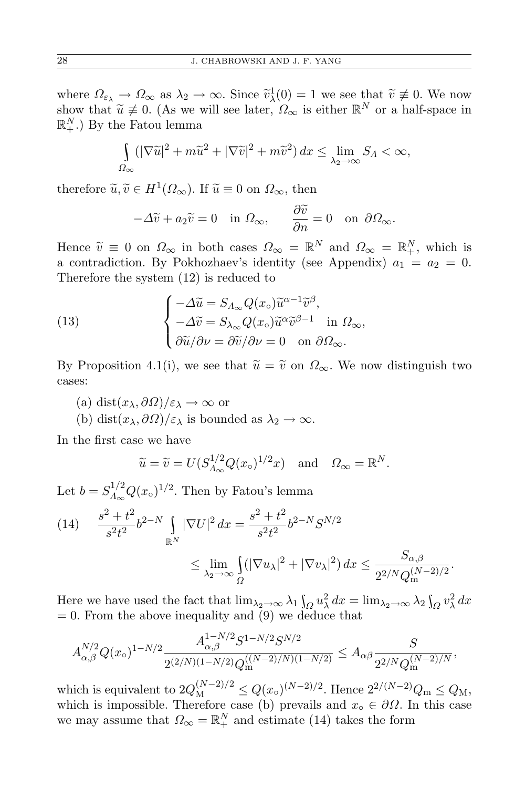where  $\Omega_{\varepsilon_{\lambda}} \to \Omega_{\infty}$  as  $\lambda_2 \to \infty$ . Since  $\tilde{v}_{\lambda}^1(0) = 1$  we see that  $\tilde{v} \neq 0$ . We now show that  $\widetilde{u} \neq 0$ . (As we will see later,  $\Omega_{\infty}$  is either  $\mathbb{R}^{N}$  or a half-space in  $\mathbb{R}^{N}$ .) By the Estay larger  $\mathbb{R}_{+}^{N}$ .) By the Fatou lemma

$$
\int_{\Omega_{\infty}} (|\nabla \widetilde{u}|^2 + m\widetilde{u}^2 + |\nabla \widetilde{v}|^2 + m\widetilde{v}^2) dx \le \lim_{\lambda_2 \to \infty} S_{\Lambda} < \infty,
$$

therefore  $\widetilde{u}, \widetilde{v} \in H^1(\Omega_\infty)$ . If  $\widetilde{u} \equiv 0$  on  $\Omega_\infty$ , then

$$
-\Delta \widetilde{v} + a_2 \widetilde{v} = 0 \quad \text{in } \Omega_\infty, \qquad \frac{\partial \widetilde{v}}{\partial n} = 0 \quad \text{on } \partial \Omega_\infty.
$$

Hence  $\tilde{v} \equiv 0$  on  $\Omega_{\infty}$  in both cases  $\Omega_{\infty} = \mathbb{R}^{N}$  and  $\Omega_{\infty} = \mathbb{R}^{N}$ , which is a contradiction. By Pokhozhaev's identity (see Appendix)  $a_1 = a_2 = 0$ . Therefore the system (12) is reduced to

(13) 
$$
\begin{cases}\n-\Delta \widetilde{u} = S_{\Lambda_{\infty}} Q(x_{\circ}) \widetilde{u}^{\alpha - 1} \widetilde{v}^{\beta}, \\
-\Delta \widetilde{v} = S_{\lambda_{\infty}} Q(x_{\circ}) \widetilde{u}^{\alpha} \widetilde{v}^{\beta - 1} \quad \text{in } \Omega_{\infty}, \\
\partial \widetilde{u}/\partial \nu = \partial \widetilde{v}/\partial \nu = 0 \quad \text{on } \partial \Omega_{\infty}.\n\end{cases}
$$

By Proposition 4.1(i), we see that  $\tilde{u} = \tilde{v}$  on  $\Omega_{\infty}$ . We now distinguish two cases:

- (a) dist(*xλ, ∂Ω*)*/ε<sup>λ</sup> → ∞* or
- (b) dist $(x_\lambda, \partial \Omega)/\varepsilon_\lambda$  is bounded as  $\lambda_2 \to \infty$ .

In the first case we have

$$
\widetilde{u} = \widetilde{v} = U(S_{\Lambda_{\infty}}^{1/2} Q(x_{\circ})^{1/2} x)
$$
 and  $\Omega_{\infty} = \mathbb{R}^{N}$ .

Let  $b = S_{A_{\infty}}^{1/2}$  $\int_{\Lambda_{\infty}}^{1/2} Q(x)$ <sup>1/2</sup>. Then by Fatou's lemma

$$
(14) \quad \frac{s^2 + t^2}{s^2 t^2} b^{2-N} \int_{\mathbb{R}^N} |\nabla U|^2 dx = \frac{s^2 + t^2}{s^2 t^2} b^{2-N} S^{N/2}
$$

$$
\leq \lim_{\lambda_2 \to \infty} \int_{\Omega} (|\nabla u_{\lambda}|^2 + |\nabla v_{\lambda}|^2) dx \leq \frac{S_{\alpha, \beta}}{2^{2/N} Q_{\text{m}}^{(N-2)/2}}.
$$

Here we have used the fact that  $\lim_{\lambda_2 \to \infty} \lambda_1 \int_{\Omega} u_\lambda^2 dx = \lim_{\lambda_2 \to \infty} \lambda_2 \int_{\Omega} v_\lambda^2 dx$  $= 0$ . From the above inequality and  $(9)$  we deduce that

$$
A_{\alpha,\beta}^{N/2} Q(x_0)^{1-N/2} \frac{A_{\alpha,\beta}^{1-N/2} S^{1-N/2} S^{N/2}}{2^{(2/N)(1-N/2)} Q_m^{((N-2)/N)(1-N/2)}} \leq A_{\alpha\beta} \frac{S}{2^{2/N} Q_m^{(N-2)/N}},
$$

which is equivalent to  $2Q_M^{(N-2)/2} \leq Q(x_\circ)^{(N-2)/2}$ . Hence  $2^{2/(N-2)}Q_m \leq Q_M$ , which is impossible. Therefore case (b) prevails and  $x<sub>o</sub> \in \partial\Omega$ . In this case we may assume that  $\Omega_{\infty} = \mathbb{R}^N_+$  and estimate (14) takes the form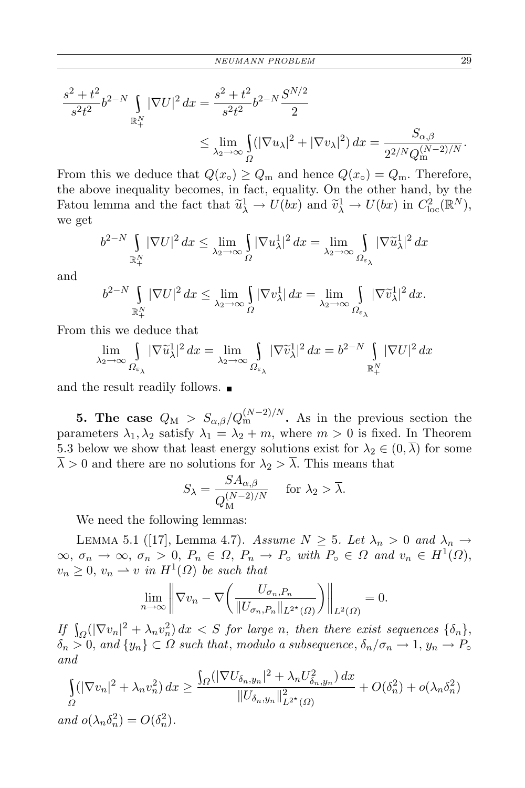$$
\frac{s^2 + t^2}{s^2 t^2} b^{2-N} \int_{\mathbb{R}_+^N} |\nabla U|^2 dx = \frac{s^2 + t^2}{s^2 t^2} b^{2-N} \frac{S^{N/2}}{2}
$$
  

$$
\leq \lim_{\lambda_2 \to \infty} \int_{\Omega} (|\nabla u_\lambda|^2 + |\nabla v_\lambda|^2) dx = \frac{S_{\alpha,\beta}}{2^{2/N} Q_{\text{m}}^{(N-2)/N}}.
$$

From this we deduce that  $Q(x_0) \geq Q_m$  and hence  $Q(x_0) = Q_m$ . Therefore, the above inequality becomes, in fact, equality. On the other hand, by the Fatou lemma and the fact that  $\tilde{u}^1_\lambda \to U(bx)$  and  $\tilde{v}^1_\lambda \to U(bx)$  in  $C^2_{\text{loc}}(\mathbb{R}^N)$ , we get

$$
b^{2-N} \int_{\mathbb{R}_+^N} |\nabla U|^2 \, dx \le \lim_{\lambda_2 \to \infty} \int_{\Omega} |\nabla u_\lambda^1|^2 \, dx = \lim_{\lambda_2 \to \infty} \int_{\Omega_{\varepsilon_\lambda}} |\nabla \tilde{u}_\lambda^1|^2 \, dx
$$

and

$$
b^{2-N}\int\limits_{\mathbb{R}^N_+} |\nabla U|^2\,dx \leq \lim\limits_{\lambda_2\to\infty}\int\limits_{\varOmega} |\nabla v^1_\lambda|\,dx = \lim\limits_{\lambda_2\to\infty}\int\limits_{\varOmega_{\varepsilon_\lambda}} |\nabla \widetilde v^1_\lambda|^2\,dx.
$$

From this we deduce that

$$
\lim_{\lambda_2 \to \infty} \int_{\Omega_{\varepsilon_\lambda}} |\nabla \widetilde{u}_\lambda^1|^2 dx = \lim_{\lambda_2 \to \infty} \int_{\Omega_{\varepsilon_\lambda}} |\nabla \widetilde{v}_\lambda^1|^2 dx = b^{2-N} \int_{\mathbb{R}_+^N} |\nabla U|^2 dx
$$

and the result readily follows.  $\blacksquare$ 

**5. The case**  $Q_M > S_{\alpha,\beta}/Q_m^{(N-2)/N}$ . As in the previous section the parameters  $\lambda_1, \lambda_2$  satisfy  $\lambda_1 = \lambda_2 + m$ , where  $m > 0$  is fixed. In Theorem 5.3 below we show that least energy solutions exist for  $\lambda_2 \in (0, \overline{\lambda})$  for some  $\overline{\lambda} > 0$  and there are no solutions for  $\lambda_2 > \overline{\lambda}$ . This means that

$$
S_{\lambda} = \frac{SA_{\alpha,\beta}}{Q_{\mathcal{M}}^{(N-2)/N}} \quad \text{ for } \lambda_2 > \overline{\lambda}.
$$

We need the following lemmas:

LEMMA 5.1 ([17], Lemma 4.7). *Assume*  $N \geq 5$ . Let  $\lambda_n > 0$  and  $\lambda_n \rightarrow$  $\infty, \sigma_n \to \infty, \sigma_n > 0, P_n \in \Omega, P_n \to P_o$  with  $P_o \in \Omega$  and  $v_n \in H^1(\Omega)$ ,  $v_n \geq 0$ ,  $v_n \rightharpoonup v$  *in*  $H^1(\Omega)$  *be such that* 

$$
\lim_{n \to \infty} \left\| \nabla v_n - \nabla \left( \frac{U_{\sigma_n, P_n}}{\| U_{\sigma_n, P_n} \|_{L^{2^*}(\Omega)}} \right) \right\|_{L^2(\Omega)} = 0.
$$

 $I$ *f*  $\int_{\Omega}(|\nabla v_n|^2 + \lambda_n v_n^2) dx < S$  *for large n, then there exist sequences*  $\{\delta_n\},\$  $\delta_n > 0$ , and  $\{y_n\} \subset \Omega$  *such that, modulo a subsequence,*  $\delta_n/\sigma_n \to 1$ ,  $y_n \to P_o$ *and*

$$
\int_{\Omega} (|\nabla v_n|^2 + \lambda_n v_n^2) dx \ge \frac{\int_{\Omega} (|\nabla U_{\delta_n, y_n}|^2 + \lambda_n U_{\delta_n, y_n}^2) dx}{\|U_{\delta_n, y_n}\|_{L^{2^*}(\Omega)}^2} + O(\delta_n^2) + o(\lambda_n \delta_n^2)
$$
  
and  $o(\lambda_n \delta_n^2) = O(\delta_n^2)$ .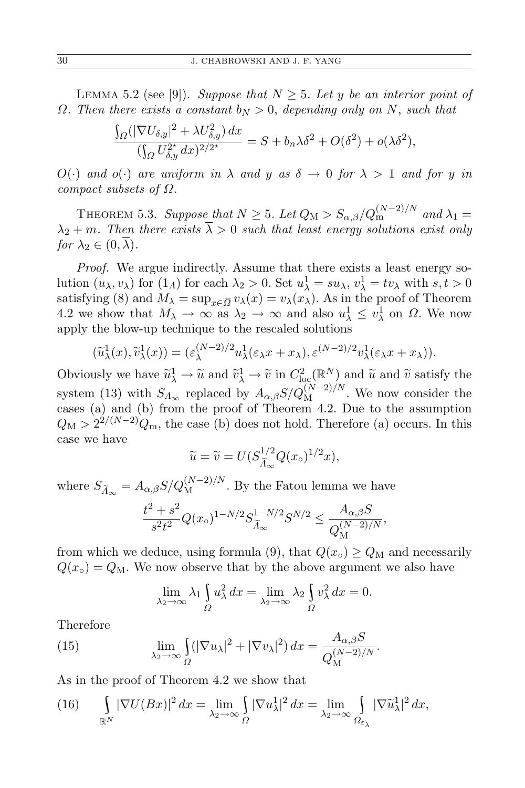LEMMA 5.2 (see [9]). *Suppose that*  $N \geq 5$ . Let *y* be an interior point of *Ω. Then there exists a constant b<sup>N</sup> >* 0, *depending only on N*, *such that*

$$
\frac{\int_{\Omega} (|\nabla U_{\delta,y}|^2 + \lambda U_{\delta,y}^2) dx}{(\int_{\Omega} U_{\delta,y}^{2^\star} dx)^{2/2^\star}} = S + b_n \lambda \delta^2 + O(\delta^2) + o(\lambda \delta^2),
$$

 $O(\cdot)$  *and*  $o(\cdot)$  *are uniform in*  $\lambda$  *and*  $y$  *as*  $\delta \to 0$  *for*  $\lambda > 1$  *and for y in compact subsets of Ω.*

THEOREM 5.3. *Suppose that*  $N \ge 5$ *. Let*  $Q_M > S_{\alpha,\beta}/Q_m^{(N-2)/N}$  and  $\lambda_1 =$  $\lambda_2 + m$ *. Then there exists*  $\overline{\lambda} > 0$  *such that least energy solutions exist only for*  $\lambda_2 \in (0, \lambda)$ .

*Proof.* We argue indirectly. Assume that there exists a least energy solution  $(u_\lambda, v_\lambda)$  for  $(1_\Lambda)$  for each  $\lambda_2 > 0$ . Set  $u_\lambda^1 = su_\lambda$ ,  $v_\lambda^1 = tv_\lambda$  with  $s, t > 0$ satisfying (8) and  $M_{\lambda} = \sup_{x \in \overline{\Omega}} v_{\lambda}(x) = v_{\lambda}(x)$ . As in the proof of Theorem 4.2 we show that  $M_{\lambda} \to \infty$  as  $\lambda_2 \to \infty$  and also  $u_{\lambda}^1 \leq v_{\lambda}^1$  on  $\Omega$ . We now apply the blow-up technique to the rescaled solutions

$$
(\widetilde{u}_{\lambda}^1(x), \widetilde{v}_{\lambda}^1(x)) = (\varepsilon_{\lambda}^{(N-2)/2} u_{\lambda}^1(\varepsilon_{\lambda} x + x_{\lambda}), \varepsilon^{(N-2)/2} v_{\lambda}^1(\varepsilon_{\lambda} x + x_{\lambda})).
$$

Obviously we have  $\widetilde{u}_{\lambda}^1 \to \widetilde{u}$  and  $\widetilde{v}_{\lambda}^1 \to \widetilde{v}$  in  $C^2_{\text{loc}}(\mathbb{R}^N)$  and  $\widetilde{u}$  and  $\widetilde{v}$  satisfy the system (13) with  $S_{\Lambda_{\infty}}$  replaced by  $A_{\alpha,\beta}S/Q_{\rm M}^{(N-2)/N}$ . We now consider the cases (a) and (b) from the proof of Theorem 4.2. Due to the assumption  $Q_M > 2^{2/(N-2)}Q_m$ , the case (b) does not hold. Therefore (a) occurs. In this case we have

$$
\widetilde{u} = \widetilde{v} = U(S_{\widetilde{\Lambda}_{\infty}}^{1/2} Q(x_{\circ})^{1/2} x),
$$

where  $S_{\widetilde{A}_{\infty}} = A_{\alpha,\beta} S/Q_M^{(N-2)/N}$ . By the Fatou lemma we have

$$
\frac{t^2 + s^2}{s^2 t^2} Q(x_\circ)^{1 - N/2} S_{\widetilde{\Lambda}_\infty}^{1 - N/2} S^{N/2} \le \frac{A_{\alpha, \beta} S}{Q_M^{(N-2)/N}},
$$

from which we deduce, using formula (9), that  $Q(x_0) \geq Q_M$  and necessarily  $Q(x<sub>o</sub>) = Q<sub>M</sub>$ . We now observe that by the above argument we also have

$$
\lim_{\lambda_2 \to \infty} \lambda_1 \int_{\Omega} u_{\lambda}^2 dx = \lim_{\lambda_2 \to \infty} \lambda_2 \int_{\Omega} v_{\lambda}^2 dx = 0.
$$

\

Therefore

(15) 
$$
\lim_{\lambda_2 \to \infty} \int_{\Omega} (|\nabla u_{\lambda}|^2 + |\nabla v_{\lambda}|^2) dx = \frac{A_{\alpha,\beta} S}{Q_M^{(N-2)/N}}.
$$

\

As in the proof of Theorem 4.2 we show that

(16) 
$$
\int_{\mathbb{R}^N} |\nabla U(Bx)|^2 dx = \lim_{\lambda_2 \to \infty} \int_{\Omega} |\nabla u_{\lambda}^1|^2 dx = \lim_{\lambda_2 \to \infty} \int_{\Omega_{\varepsilon_{\lambda}}} |\nabla \widetilde{u}_{\lambda}^1|^2 dx,
$$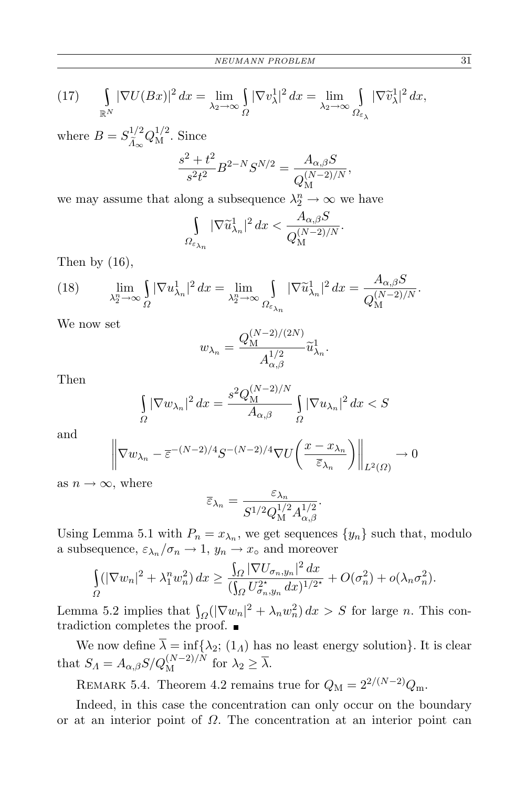(17) 
$$
\int_{\mathbb{R}^N} |\nabla U(Bx)|^2 dx = \lim_{\lambda_2 \to \infty} \int_{\Omega} |\nabla v_\lambda^1|^2 dx = \lim_{\lambda_2 \to \infty} \int_{\Omega_{\varepsilon_\lambda}} |\nabla \tilde{v}_\lambda^1|^2 dx,
$$

where  $B = S_{\tilde{\lambda}}^{1/2}$  $\frac{1}{A_{\infty}}$  *Q*<sup>1</sup>/<sup>2</sup>. Since

$$
\frac{s^2 + t^2}{s^2 t^2} B^{2-N} S^{N/2} = \frac{A_{\alpha,\beta} S}{Q_M^{(N-2)/N}},
$$

we may assume that along a subsequence  $\lambda_2^n \to \infty$  we have

$$
\int\limits_{\Omega_{\varepsilon_{\lambda_n}}} |\nabla \widetilde u_{\lambda_n}^1|^2\,dx < \frac{A_{\alpha,\beta}S}{Q_M^{(N-2)/N}}.
$$

Then by  $(16)$ ,

(18) 
$$
\lim_{\lambda_2^n \to \infty} \int_{\Omega} |\nabla u_{\lambda_n}^1|^2 dx = \lim_{\lambda_2^n \to \infty} \int_{\Omega_{\varepsilon_{\lambda_n}}} |\nabla \widetilde{u}_{\lambda_n}^1|^2 dx = \frac{A_{\alpha,\beta} S}{Q_M^{(N-2)/N}}.
$$

We now set

$$
w_{\lambda_n} = \frac{Q_{\mathcal{M}}^{(N-2)/(2N)}}{A_{\alpha,\beta}^{1/2}} \widetilde{u}_{\lambda_n}^1.
$$

Then

$$
\int_{\Omega} |\nabla w_{\lambda_n}|^2 dx = \frac{s^2 Q_{\mathcal{M}}^{(N-2)/N}}{A_{\alpha,\beta}} \int_{\Omega} |\nabla u_{\lambda_n}|^2 dx < S
$$

and

$$
\left\|\nabla w_{\lambda_n} - \overline{\varepsilon}^{-(N-2)/4} S^{-(N-2)/4} \nabla U \left(\frac{x - x_{\lambda_n}}{\overline{\varepsilon}_{\lambda_n}}\right)\right\|_{L^2(\Omega)} \to 0
$$

as  $n \to \infty$ , where

$$
\overline{\varepsilon}_{\lambda_n} = \frac{\varepsilon_{\lambda_n}}{S^{1/2} Q_{\rm M}^{1/2} A_{\alpha,\beta}^{1/2}}.
$$

Using Lemma 5.1 with  $P_n = x_{\lambda_n}$ , we get sequences  $\{y_n\}$  such that, modulo a subsequence,  $\varepsilon_{\lambda_n}/\sigma_n \to 1$ ,  $y_n \to x_\circ$  and moreover

$$
\int_{\Omega} (|\nabla w_n|^2 + \lambda_1^n w_n^2) dx \ge \frac{\int_{\Omega} |\nabla U_{\sigma_n, y_n}|^2 dx}{(\int_{\Omega} U_{\sigma_n, y_n}^{2^*} dx)^{1/2^*}} + O(\sigma_n^2) + o(\lambda_n \sigma_n^2).
$$

Lemma 5.2 implies that  $\int_{\Omega}(|\nabla w_n|^2 + \lambda_n w_n^2) dx > S$  for large *n*. This contradiction completes the proof.

We now define  $\lambda = \inf \{ \lambda_2; (1_\Lambda) \}$  has no least energy solution}. It is clear that  $S_A = A_{\alpha,\beta} S/Q_M^{(N-2)/N}$  for  $\lambda_2 \ge \overline{\lambda}$ .

REMARK 5.4. Theorem 4.2 remains true for  $Q_M = 2^{2/(N-2)}Q_m$ .

Indeed, in this case the concentration can only occur on the boundary or at an interior point of *Ω*. The concentration at an interior point can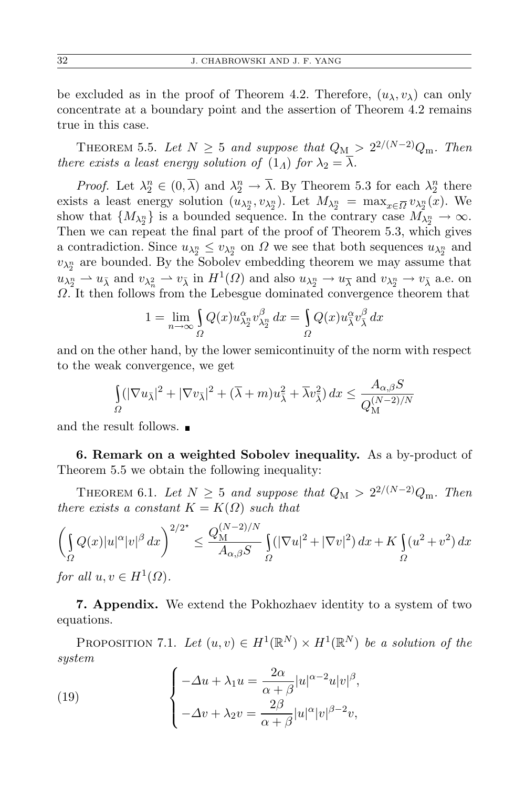be excluded as in the proof of Theorem 4.2. Therefore,  $(u_\lambda, v_\lambda)$  can only concentrate at a boundary point and the assertion of Theorem 4.2 remains true in this case.

THEOREM 5.5. Let  $N \geq 5$  and suppose that  $Q_{\text{M}} > 2^{2/(N-2)}Q_{\text{m}}$ . Then *there exists a least energy solution of*  $(1_A)$  *for*  $\lambda_2 = \lambda$ *.* 

*Proof.* Let  $\lambda_2^n \in (0, \overline{\lambda})$  and  $\lambda_2^n \to \overline{\lambda}$ . By Theorem 5.3 for each  $\lambda_2^n$  there exists a least energy solution  $(u_{\lambda_2^n}, v_{\lambda_2^n})$ . Let  $M_{\lambda_2^n} = \max_{x \in \overline{\Omega}} v_{\lambda_2^n}(x)$ . We show that  $\{M_{\lambda_2^n}\}\$ is a bounded sequence. In the contrary case  $M_{\lambda_2^n}\to\infty$ . Then we can repeat the final part of the proof of Theorem 5.3, which gives a contradiction. Since  $u_{\lambda_2^n} \leq v_{\lambda_2^n}$  on  $\Omega$  we see that both sequences  $u_{\lambda_2^n}$  and  $v_{\lambda_2^n}$  are bounded. By the Sobolev embedding theorem we may assume that  $u_{\lambda_2^n} \rightharpoonup u_{\bar{\lambda}}$  and  $v_{\lambda_n^2} \rightharpoonup v_{\bar{\lambda}}$  in  $H^1(\Omega)$  and also  $u_{\lambda_2^n} \rightharpoonup u_{\bar{\lambda}}$  and  $v_{\lambda_2^n} \rightharpoonup v_{\bar{\lambda}}$  a.e. on *Ω*. It then follows from the Lebesgue dominated convergence theorem that

$$
1 = \lim_{n \to \infty} \int_{\Omega} Q(x) u_{\lambda_2^n}^{\alpha} v_{\lambda_2^n}^{\beta} dx = \int_{\Omega} Q(x) u_{\overline{\lambda}}^{\alpha} v_{\overline{\lambda}}^{\beta} dx
$$

and on the other hand, by the lower semicontinuity of the norm with respect to the weak convergence, we get

$$
\int_{\Omega} (|\nabla u_{\bar{\lambda}}|^2 + |\nabla v_{\bar{\lambda}}|^2 + (\overline{\lambda} + m)u_{\bar{\lambda}}^2 + \overline{\lambda}v_{\bar{\lambda}}^2) dx \le \frac{A_{\alpha,\beta}S}{Q_{\mathcal{M}}^{(N-2)/N}}
$$

and the result follows.

**6. Remark on a weighted Sobolev inequality.** As a by-product of Theorem 5.5 we obtain the following inequality:

THEOREM 6.1. Let  $N \geq 5$  and suppose that  $Q_M > 2^{2/(N-2)}Q_m$ . Then *there exists a constant*  $K = K(\Omega)$  *such that* 

$$
\left(\int_{\Omega} Q(x)|u|^{\alpha}|v|^{\beta} dx\right)^{2/2^{\star}} \leq \frac{Q_{\rm M}^{(N-2)/N}}{A_{\alpha,\beta}S} \int_{\Omega} (|\nabla u|^2 + |\nabla v|^2) dx + K \int_{\Omega} (u^2 + v^2) dx
$$

*for all*  $u, v \in H^1(\Omega)$ *.* 

**7. Appendix.** We extend the Pokhozhaev identity to a system of two equations.

PROPOSITION 7.1. Let  $(u, v) \in H^1(\mathbb{R}^N) \times H^1(\mathbb{R}^N)$  be a solution of the *system*

(19) 
$$
\begin{cases}\n-\Delta u + \lambda_1 u = \frac{2\alpha}{\alpha + \beta} |u|^{\alpha - 2} u |v|^{\beta}, \\
-\Delta v + \lambda_2 v = \frac{2\beta}{\alpha + \beta} |u|^{\alpha} |v|^{\beta - 2} v,\n\end{cases}
$$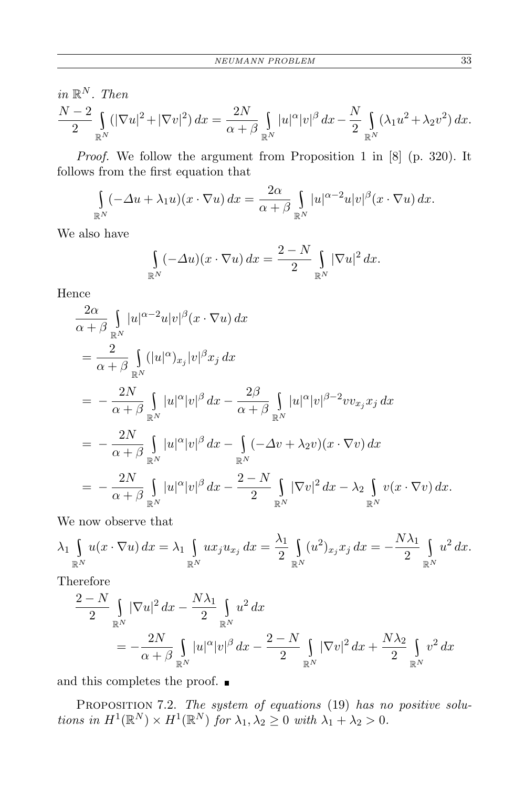in 
$$
\mathbb{R}^N
$$
. Then  
\n
$$
\frac{N-2}{2} \int_{\mathbb{R}^N} (|\nabla u|^2 + |\nabla v|^2) \, dx = \frac{2N}{\alpha + \beta} \int_{\mathbb{R}^N} |u|^\alpha |v|^\beta \, dx - \frac{N}{2} \int_{\mathbb{R}^N} (\lambda_1 u^2 + \lambda_2 v^2) \, dx.
$$

*Proof.* We follow the argument from Proposition 1 in [8] (p. 320). It follows from the first equation that

$$
\int_{\mathbb{R}^N} (-\Delta u + \lambda_1 u)(x \cdot \nabla u) dx = \frac{2\alpha}{\alpha + \beta} \int_{\mathbb{R}^N} |u|^{\alpha - 2} u |v|^\beta (x \cdot \nabla u) dx.
$$

We also have

$$
\int_{\mathbb{R}^N} (-\Delta u)(x \cdot \nabla u) dx = \frac{2-N}{2} \int_{\mathbb{R}^N} |\nabla u|^2 dx.
$$

Hence

$$
\frac{2\alpha}{\alpha+\beta} \int_{\mathbb{R}^N} |u|^{\alpha-2}u|v|^{\beta}(x \cdot \nabla u) dx \n= \frac{2}{\alpha+\beta} \int_{\mathbb{R}^N} (|u|^{\alpha})_{x_j} |v|^{\beta} x_j dx \n= -\frac{2N}{\alpha+\beta} \int_{\mathbb{R}^N} |u|^{\alpha} |v|^{\beta} dx - \frac{2\beta}{\alpha+\beta} \int_{\mathbb{R}^N} |u|^{\alpha} |v|^{\beta-2} v v_{x_j} x_j dx \n= -\frac{2N}{\alpha+\beta} \int_{\mathbb{R}^N} |u|^{\alpha} |v|^{\beta} dx - \int_{\mathbb{R}^N} (-\Delta v + \lambda_2 v)(x \cdot \nabla v) dx \n= -\frac{2N}{\alpha+\beta} \int_{\mathbb{R}^N} |u|^{\alpha} |v|^{\beta} dx - \frac{2-N}{2} \int_{\mathbb{R}^N} |\nabla v|^2 dx - \lambda_2 \int_{\mathbb{R}^N} v(x \cdot \nabla v) dx.
$$

We now observe that

$$
\lambda_1 \int_{\mathbb{R}^N} u(x \cdot \nabla u) dx = \lambda_1 \int_{\mathbb{R}^N} u x_j u_{x_j} dx = \frac{\lambda_1}{2} \int_{\mathbb{R}^N} (u^2)_{x_j} x_j dx = -\frac{N\lambda_1}{2} \int_{\mathbb{R}^N} u^2 dx.
$$

Therefore

$$
\frac{2-N}{2}\int_{\mathbb{R}^N} |\nabla u|^2 dx - \frac{N\lambda_1}{2}\int_{\mathbb{R}^N} u^2 dx
$$
  
= 
$$
-\frac{2N}{\alpha+\beta}\int_{\mathbb{R}^N} |u|^\alpha |v|^\beta dx - \frac{2-N}{2}\int_{\mathbb{R}^N} |\nabla v|^2 dx + \frac{N\lambda_2}{2}\int_{\mathbb{R}^N} v^2 dx
$$

and this completes the proof.  $\blacksquare$ 

Proposition 7.2. *The system of equations* (19) *has no positive solutions in*  $H^1(\mathbb{R}^N) \times H^1(\mathbb{R}^N)$  *for*  $\lambda_1, \lambda_2 \geq 0$  *with*  $\lambda_1 + \lambda_2 > 0$ *.*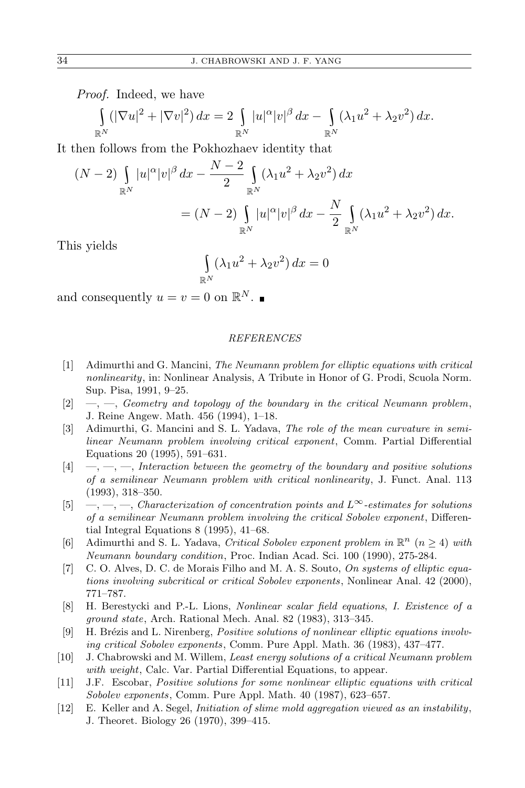*Proof.* Indeed, we have

$$
\int_{\mathbb{R}^N} (|\nabla u|^2 + |\nabla v|^2) dx = 2 \int_{\mathbb{R}^N} |u|^\alpha |v|^\beta dx - \int_{\mathbb{R}^N} (\lambda_1 u^2 + \lambda_2 v^2) dx.
$$

It then follows from the Pokhozhaev identity that

$$
(N-2)\int_{\mathbb{R}^N} |u|^{\alpha}|v|^{\beta} dx - \frac{N-2}{2} \int_{\mathbb{R}^N} (\lambda_1 u^2 + \lambda_2 v^2) dx
$$
  
=  $(N-2) \int_{\mathbb{R}^N} |u|^{\alpha}|v|^{\beta} dx - \frac{N}{2} \int_{\mathbb{R}^N} (\lambda_1 u^2 + \lambda_2 v^2) dx.$ 

This yields

$$
\int_{\mathbb{R}^N} (\lambda_1 u^2 + \lambda_2 v^2) dx = 0
$$

and consequently  $u = v = 0$  on  $\mathbb{R}^N$ .

## *REFERENCES*

- [1] Adimurthi and G. Mancini, *The Neumann problem for elliptic equations with critical nonlinearity*, in: Nonlinear Analysis, A Tribute in Honor of G. Prodi, Scuola Norm. Sup. Pisa, 1991, 9–25.
- [2] —, —, *Geometry and topology of the boundary in the critical Neumann problem*, J. Reine Angew. Math. 456 (1994), 1–18.
- [3] Adimurthi, G. Mancini and S. L. Yadava, *The role of the mean curvature in semilinear Neumann problem involving critical exponent*, Comm. Partial Differential Equations 20 (1995), 591–631.
- [4] —, —, —, *Interaction between the geometry of the boundary and positive solutions of a semilinear Neumann problem with critical nonlinearity*, J. Funct. Anal. 113 (1993), 318–350.
- [5] —, —, —, *Characterization of concentration points and <sup>L</sup>∞-estimates for solutions of a semilinear Neumann problem involving the critical Sobolev exponent*, Differential Integral Equations 8 (1995), 41–68.
- [6] Adimurthi and S. L. Yadava, *Critical Sobolev exponent problem in*  $\mathbb{R}^n$  ( $n \geq 4$ ) *with Neumann boundary condition*, Proc. Indian Acad. Sci. 100 (1990), 275-284.
- [7] C. O. Alves, D. C. de Morais Filho and M. A. S. Souto, *On systems of elliptic equations involving subcritical or critical Sobolev exponents*, Nonlinear Anal. 42 (2000), 771–787.
- [8] H. Berestycki and P.-L. Lions, *Nonlinear scalar field equations, I. Existence of a ground state*, Arch. Rational Mech. Anal. 82 (1983), 313–345.
- [9] H. Brézis and L. Nirenberg, *Positive solutions of nonlinear elliptic equations involving critical Sobolev exponents*, Comm. Pure Appl. Math. 36 (1983), 437–477.
- [10] J. Chabrowski and M. Willem, *Least energy solutions of a critical Neumann problem with weight*, Calc. Var. Partial Differential Equations, to appear.
- [11] J.F. Escobar, *Positive solutions for some nonlinear elliptic equations with critical Sobolev exponents*, Comm. Pure Appl. Math. 40 (1987), 623–657.
- [12] E. Keller and A. Segel, *Initiation of slime mold aggregation viewed as an instability*, J. Theoret. Biology 26 (1970), 399–415.